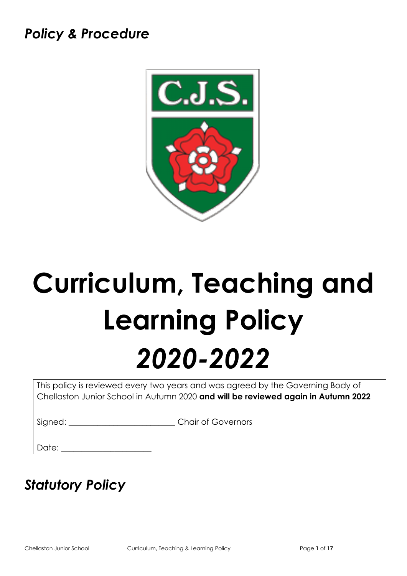# *Policy & Procedure*



# **Curriculum, Teaching and Learning Policy** *2020-2022*

This policy is reviewed every two years and was agreed by the Governing Body of Chellaston Junior School in Autumn 2020 **and will be reviewed again in Autumn 2022**

Signed: \_\_\_\_\_\_\_\_\_\_\_\_\_\_\_\_\_\_\_\_\_\_\_\_\_\_\_\_\_\_\_Chair of Governors

 $Date:$ 

# *Statutory Policy*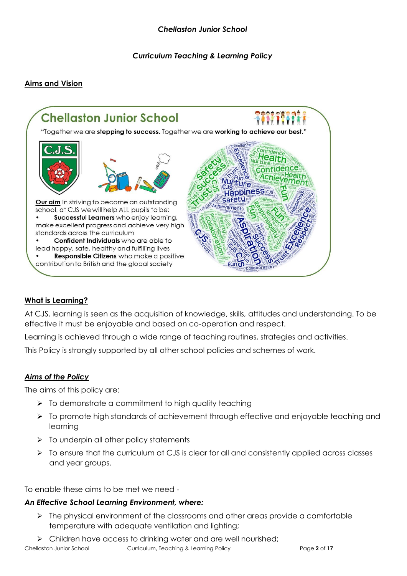*Curriculum Teaching & Learning Policy* 

# **Aims and Vision**



#### **What is Learning?**

At CJS, learning is seen as the acquisition of knowledge, skills, attitudes and understanding. To be effective it must be enjoyable and based on co-operation and respect.

Learning is achieved through a wide range of teaching routines, strategies and activities.

This Policy is strongly supported by all other school policies and schemes of work.

#### *Aims of the Policy*

The aims of this policy are:

- ➢ To demonstrate a commitment to high quality teaching
- ➢ To promote high standards of achievement through effective and enjoyable teaching and learning
- $\triangleright$  To underpin all other policy statements
- $\triangleright$  To ensure that the curriculum at CJS is clear for all and consistently applied across classes and year groups.

To enable these aims to be met we need -

#### *An Effective School Learning Environment, where:*

- ➢ The physical environment of the classrooms and other areas provide a comfortable temperature with adequate ventilation and lighting;
- ➢ Children have access to drinking water and are well nourished;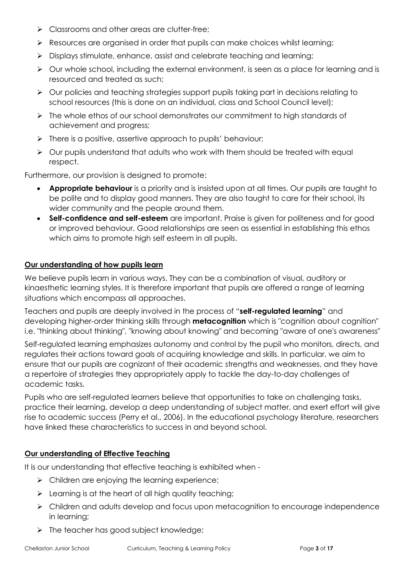- ➢ Classrooms and other areas are clutter-free;
- ➢ Resources are organised in order that pupils can make choices whilst learning;
- ➢ Displays stimulate, enhance, assist and celebrate teaching and learning;
- ➢ Our whole school, including the external environment, is seen as a place for learning and is resourced and treated as such;
- ➢ Our policies and teaching strategies support pupils taking part in decisions relating to school resources (this is done on an individual, class and School Council level);
- ➢ The whole ethos of our school demonstrates our commitment to high standards of achievement and progress;
- ➢ There is a positive, assertive approach to pupils' behaviour;
- ➢ Our pupils understand that adults who work with them should be treated with equal respect.

Furthermore, our provision is designed to promote:

- **Appropriate behaviour** is a priority and is insisted upon at all times. Our pupils are taught to be polite and to display good manners. They are also taught to care for their school, its wider community and the people around them.
- **Self-confidence and self-esteem** are important. Praise is given for politeness and for good or improved behaviour. Good relationships are seen as essential in establishing this ethos which aims to promote high self esteem in all pupils.

# **Our understanding of how pupils learn**

We believe pupils learn in various ways. They can be a combination of visual, auditory or kinaesthetic learning styles. It is therefore important that pupils are offered a range of learning situations which encompass all approaches.

Teachers and pupils are deeply involved in the process of "**self-regulated learning**" and developing higher-order thinking skills through **metacognition** which is "cognition about cognition" i.e. "thinking about thinking", "knowing about knowing" and becoming "aware of one's awareness"

Self-regulated learning emphasizes autonomy and control by the pupil who monitors, directs, and regulates their actions toward goals of acquiring knowledge and skills. In particular, we aim to ensure that our pupils are cognizant of their academic strengths and weaknesses, and they have a repertoire of strategies they appropriately apply to tackle the day-to-day challenges of academic tasks.

Pupils who are self-regulated learners believe that opportunities to take on challenging tasks, practice their learning, develop a deep understanding of subject matter, and exert effort will give rise to academic success (Perry et al., 2006). In the educational psychology literature, researchers have linked these characteristics to success in and beyond school.

# **Our understanding of Effective Teaching**

It is our understanding that effective teaching is exhibited when -

- $\triangleright$  Children are enjoying the learning experience;
- ➢ Learning is at the heart of all high quality teaching;
- ➢ Children and adults develop and focus upon metacognition to encourage independence in learning;
- ➢ The teacher has good subject knowledge;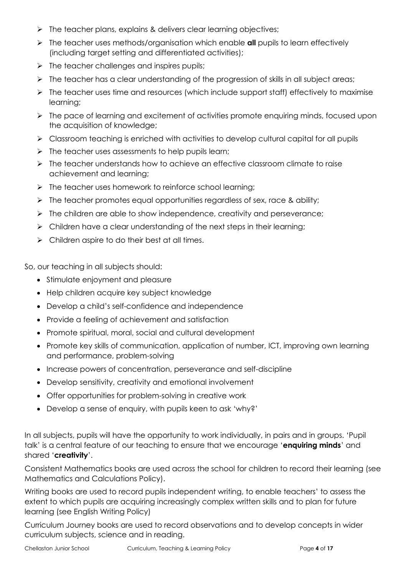- ➢ The teacher plans, explains & delivers clear learning objectives;
- ➢ The teacher uses methods/organisation which enable **all** pupils to learn effectively (including target setting and differentiated activities);
- $\triangleright$  The teacher challenges and inspires pupils;
- ➢ The teacher has a clear understanding of the progression of skills in all subject areas;
- ➢ The teacher uses time and resources (which include support staff) effectively to maximise learning;
- ➢ The pace of learning and excitement of activities promote enquiring minds, focused upon the acquisition of knowledge;
- ➢ Classroom teaching is enriched with activities to develop cultural capital for all pupils
- $\triangleright$  The teacher uses assessments to help pupils learn;
- ➢ The teacher understands how to achieve an effective classroom climate to raise achievement and learning;
- ➢ The teacher uses homework to reinforce school learning;
- $\triangleright$  The teacher promotes equal opportunities regardless of sex, race & ability;
- ➢ The children are able to show independence, creativity and perseverance;
- $\triangleright$  Children have a clear understanding of the next steps in their learning;
- $\triangleright$  Children aspire to do their best at all times.

So, our teaching in all subjects should:

- Stimulate enjoyment and pleasure
- Help children acquire key subject knowledge
- Develop a child's self-confidence and independence
- Provide a feeling of achievement and satisfaction
- Promote spiritual, moral, social and cultural development
- Promote key skills of communication, application of number, ICT, improving own learning and performance, problem-solving
- Increase powers of concentration, perseverance and self-discipline
- Develop sensitivity, creativity and emotional involvement
- Offer opportunities for problem-solving in creative work
- Develop a sense of enquiry, with pupils keen to ask 'why?'

In all subjects, pupils will have the opportunity to work individually, in pairs and in groups. 'Pupil talk' is a central feature of our teaching to ensure that we encourage '**enquiring minds**' and shared '**creativity**'.

Consistent Mathematics books are used across the school for children to record their learning (see Mathematics and Calculations Policy).

Writing books are used to record pupils independent writing, to enable teachers' to assess the extent to which pupils are acquiring increasingly complex written skills and to plan for future learning (see English Writing Policy)

Curriculum Journey books are used to record observations and to develop concepts in wider curriculum subjects, science and in reading.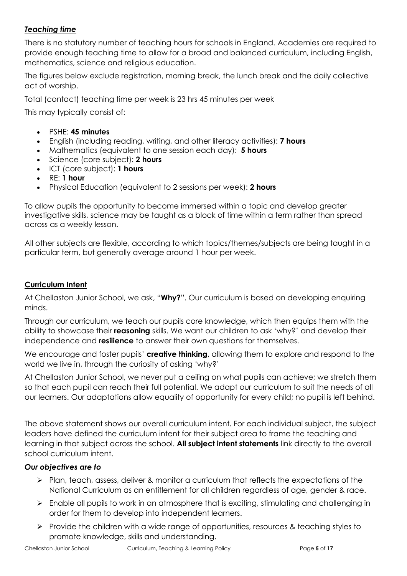# *Teaching time*

There is no statutory number of teaching hours for schools in England. Academies are required to provide enough teaching time to allow for a broad and balanced curriculum, including English, mathematics, science and religious education.

The figures below exclude registration, morning break, the lunch break and the daily collective act of worship.

Total (contact) teaching time per week is 23 hrs 45 minutes per week

This may typically consist of:

- PSHE: **45 minutes**
- English (including reading, writing, and other literacy activities): **7 hours**
- Mathematics (equivalent to one session each day): **5 hours**
- Science (core subject): **2 hours**
- ICT (core subject): **1 hours**
- RE: **1 hour**
- Physical Education (equivalent to 2 sessions per week): **2 hours**

To allow pupils the opportunity to become immersed within a topic and develop greater investigative skills, science may be taught as a block of time within a term rather than spread across as a weekly lesson.

All other subjects are flexible, according to which topics/themes/subjects are being taught in a particular term, but generally average around 1 hour per week.

#### **Curriculum Intent**

At Chellaston Junior School, we ask, "**Why?**". Our curriculum is based on developing enquiring minds.

Through our curriculum, we teach our pupils core knowledge, which then equips them with the ability to showcase their **reasoning** skills. We want our children to ask 'why?' and develop their independence and **resilience** to answer their own questions for themselves.

We encourage and foster pupils' **creative thinking**, allowing them to explore and respond to the world we live in, through the curiosity of asking 'why?'

At Chellaston Junior School, we never put a ceiling on what pupils can achieve; we stretch them so that each pupil can reach their full potential. We adapt our curriculum to suit the needs of all our learners. Our adaptations allow equality of opportunity for every child; no pupil is left behind.

The above statement shows our overall curriculum intent. For each individual subject, the subject leaders have defined the curriculum intent for their subject area to frame the teaching and learning in that subject across the school. **All subject intent statements** link directly to the overall school curriculum intent.

#### *Our objectives are to*

- ➢ Plan, teach, assess, deliver & monitor a curriculum that reflects the expectations of the National Curriculum as an entitlement for all children regardless of age, gender & race.
- ➢ Enable all pupils to work in an atmosphere that is exciting, stimulating and challenging in order for them to develop into independent learners.
- ➢ Provide the children with a wide range of opportunities, resources & teaching styles to promote knowledge, skills and understanding.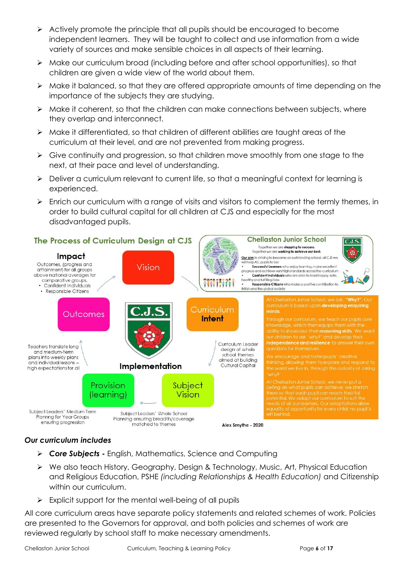- ➢ Actively promote the principle that all pupils should be encouraged to become independent learners. They will be taught to collect and use information from a wide variety of sources and make sensible choices in all aspects of their learning.
- ➢ Make our curriculum broad (including before and after school opportunities), so that children are given a wide view of the world about them.
- ➢ Make it balanced, so that they are offered appropriate amounts of time depending on the importance of the subjects they are studying.
- ➢ Make it coherent, so that the children can make connections between subjects, where they overlap and interconnect.
- ➢ Make it differentiated, so that children of different abilities are taught areas of the curriculum at their level, and are not prevented from making progress.
- ➢ Give continuity and progression, so that children move smoothly from one stage to the next, at their pace and level of understanding.
- ➢ Deliver a curriculum relevant to current life, so that a meaningful context for learning is experienced.
- ➢ Enrich our curriculum with a range of visits and visitors to complement the termly themes, in order to build cultural capital for all children at CJS and especially for the most disadvantaged pupils.



# *Our curriculum includes*

- ➢ *Core Subjects* **-** English, Mathematics, Science and Computing
- ➢ We also teach History, Geography, Design & Technology, Music, Art, Physical Education and Religious Education, PSHE *(including Relationships & Health Education)* and Citizenship within our curriculum.
- ➢ Explicit support for the mental well-being of all pupils

All core curriculum areas have separate policy statements and related schemes of work. Policies are presented to the Governors for approval, and both policies and schemes of work are reviewed regularly by school staff to make necessary amendments.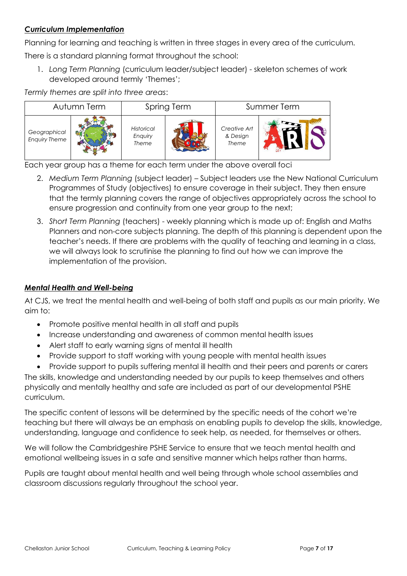# *Curriculum Implementation*

Planning for learning and teaching is written in three stages in every area of the curriculum.

There is a standard planning format throughout the school:

1. *Long Term Planning* (curriculum leader/subject leader) - skeleton schemes of work developed around termly 'Themes';

*Termly themes are split into three areas*:



Each year group has a theme for each term under the above overall foci

- 2. *Medium Term Planning* (subject leader) Subject leaders use the New National Curriculum Programmes of Study (objectives) to ensure coverage in their subject. They then ensure that the termly planning covers the range of objectives appropriately across the school to ensure progression and continuity from one year group to the next;
- 3. *Short Term Planning* (teachers) weekly planning which is made up of: English and Maths Planners and non-core subjects planning. The depth of this planning is dependent upon the teacher's needs. If there are problems with the quality of teaching and learning in a class, we will always look to scrutinise the planning to find out how we can improve the implementation of the provision.

# *Mental Health and Well-being*

At CJS, we treat the mental health and well-being of both staff and pupils as our main priority. We aim to:

- Promote positive mental health in all staff and pupils
- Increase understanding and awareness of common mental health issues
- Alert staff to early warning signs of mental ill health
- Provide support to staff working with young people with mental health issues
- Provide support to pupils suffering mental ill health and their peers and parents or carers

The skills, knowledge and understanding needed by our pupils to keep themselves and others physically and mentally healthy and safe are included as part of our developmental PSHE curriculum.

The specific content of lessons will be determined by the specific needs of the cohort we're teaching but there will always be an emphasis on enabling pupils to develop the skills, knowledge, understanding, language and confidence to seek help, as needed, for themselves or others.

We will follow the Cambridgeshire PSHE Service to ensure that we teach mental health and emotional wellbeing issues in a safe and sensitive manner which helps rather than harms.

Pupils are taught about mental health and well being through whole school assemblies and classroom discussions regularly throughout the school year.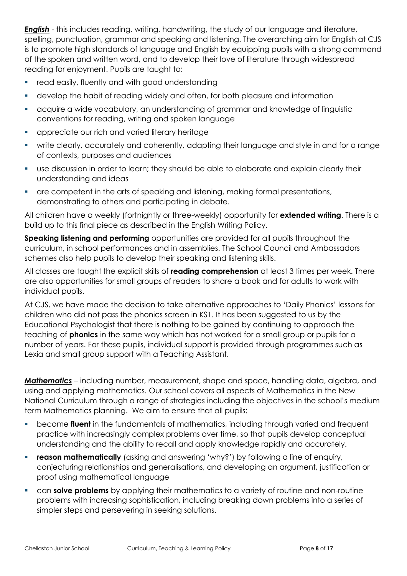*English* - this includes reading, writing, handwriting, the study of our language and literature, spelling, punctuation, grammar and speaking and listening. The overarching aim for English at CJS is to promote high standards of language and English by equipping pupils with a strong command of the spoken and written word, and to develop their love of literature through widespread reading for enjoyment. Pupils are taught to:

- read easily, fluently and with good understanding
- develop the habit of reading widely and often, for both pleasure and information
- acquire a wide vocabulary, an understanding of grammar and knowledge of linguistic conventions for reading, writing and spoken language
- **•** appreciate our rich and varied literary heritage
- write clearly, accurately and coherently, adapting their language and style in and for a range of contexts, purposes and audiences
- use discussion in order to learn; they should be able to elaborate and explain clearly their understanding and ideas
- are competent in the arts of speaking and listening, making formal presentations, demonstrating to others and participating in debate.

All children have a weekly (fortnightly or three-weekly) opportunity for **extended writing**. There is a build up to this final piece as described in the English Writing Policy.

**Speaking listening and performing** opportunities are provided for all pupils throughout the curriculum, in school performances and in assemblies. The School Council and Ambassadors schemes also help pupils to develop their speaking and listening skills.

All classes are taught the explicit skills of **reading comprehension** at least 3 times per week. There are also opportunities for small groups of readers to share a book and for adults to work with individual pupils.

At CJS, we have made the decision to take alternative approaches to 'Daily Phonics' lessons for children who did not pass the phonics screen in KS1. It has been suggested to us by the Educational Psychologist that there is nothing to be gained by continuing to approach the teaching of **phonics** in the same way which has not worked for a small group or pupils for a number of years. For these pupils, individual support is provided through programmes such as Lexia and small group support with a Teaching Assistant.

*Mathematics* – including number, measurement, shape and space, handling data, algebra, and using and applying mathematics. Our school covers all aspects of Mathematics in the New National Curriculum through a range of strategies including the objectives in the school's medium term Mathematics planning. We aim to ensure that all pupils:

- become **fluent** in the fundamentals of mathematics, including through varied and frequent practice with increasingly complex problems over time, so that pupils develop conceptual understanding and the ability to recall and apply knowledge rapidly and accurately.
- **reason mathematically** (asking and answering 'why?') by following a line of enquiry, conjecturing relationships and generalisations, and developing an argument, justification or proof using mathematical language
- can **solve problems** by applying their mathematics to a variety of routine and non-routine problems with increasing sophistication, including breaking down problems into a series of simpler steps and persevering in seeking solutions.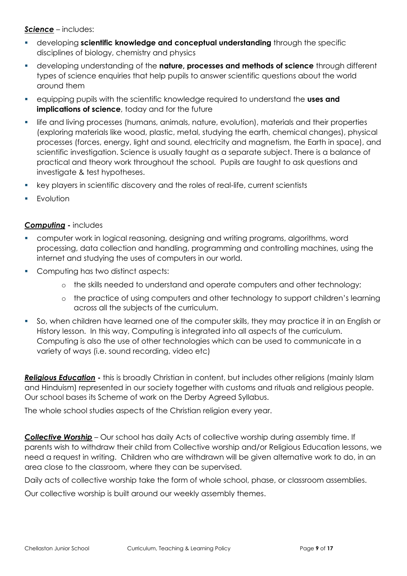*Science* – includes:

- developing **scientific knowledge and conceptual understanding** through the specific disciplines of biology, chemistry and physics
- developing understanding of the **nature, processes and methods of science** through different types of science enquiries that help pupils to answer scientific questions about the world around them
- equipping pupils with the scientific knowledge required to understand the **uses and implications of science**, today and for the future
- life and living processes (humans, animals, nature, evolution), materials and their properties (exploring materials like wood, plastic, metal, studying the earth, chemical changes), physical processes (forces, energy, light and sound, electricity and magnetism, the Earth in space), and scientific investigation. Science is usually taught as a separate subject. There is a balance of practical and theory work throughout the school. Pupils are taught to ask questions and investigate & test hypotheses.
- key players in scientific discovery and the roles of real-life, current scientists
- **Evolution**

#### *Computing* **-** includes

- computer work in logical reasoning, designing and writing programs, algorithms, word processing, data collection and handling, programming and controlling machines, using the internet and studying the uses of computers in our world.
- Computing has two distinct aspects:
	- o the skills needed to understand and operate computers and other technology;
	- o the practice of using computers and other technology to support children's learning across all the subjects of the curriculum.
- So, when children have learned one of the computer skills, they may practice it in an English or History lesson. In this way, Computing is integrated into all aspects of the curriculum. Computing is also the use of other technologies which can be used to communicate in a variety of ways (i.e. sound recording, video etc)

*Religious Education* **-** this is broadly Christian in content, but includes other religions (mainly Islam and Hinduism) represented in our society together with customs and rituals and religious people. Our school bases its Scheme of work on the Derby Agreed Syllabus.

The whole school studies aspects of the Christian religion every year.

*Collective Worship* – Our school has daily Acts of collective worship during assembly time. If parents wish to withdraw their child from Collective worship and/or Religious Education lessons, we need a request in writing. Children who are withdrawn will be given alternative work to do, in an area close to the classroom, where they can be supervised.

Daily acts of collective worship take the form of whole school, phase, or classroom assemblies.

Our collective worship is built around our weekly assembly themes.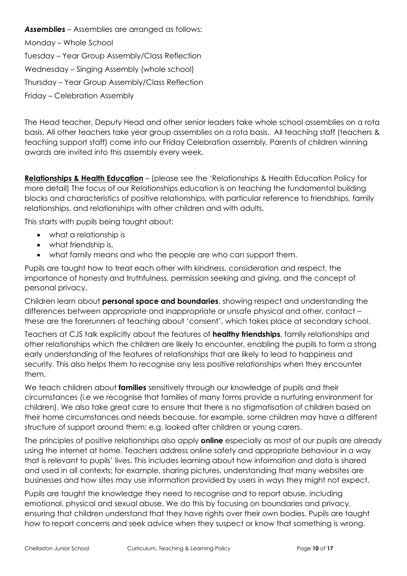*Assemblies –* Assemblies are arranged as follows: Monday – Whole School Tuesday – Year Group Assembly/Class Reflection Wednesday – Singing Assembly (whole school) Thursday – Year Group Assembly/Class Reflection Friday – Celebration Assembly

The Head teacher, Deputy Head and other senior leaders take whole school assemblies on a rota basis. All other teachers take year group assemblies on a rota basis. All teaching staff (teachers & teaching support staff) come into our Friday Celebration assembly. Parents of children winning awards are invited into this assembly every week.

**Relationships & Health Education** – (please see the 'Relationships & Health Education Policy for more detail) The focus of our Relationships education is on teaching the fundamental building blocks and characteristics of positive relationships, with particular reference to friendships, family relationships, and relationships with other children and with adults.

This starts with pupils being taught about:

- what a relationship is
- what friendship is,
- what family means and who the people are who can support them.

Pupils are taught how to treat each other with kindness, consideration and respect, the importance of honesty and truthfulness, permission seeking and giving, and the concept of personal privacy.

Children learn about **personal space and boundaries**, showing respect and understanding the differences between appropriate and inappropriate or unsafe physical and other, contact – these are the forerunners of teaching about 'consent', which takes place at secondary school.

Teachers at CJS talk explicitly about the features of **healthy friendships**, family relationships and other relationships which the children are likely to encounter, enabling the pupils to form a strong early understanding of the features of relationships that are likely to lead to happiness and security. This also helps them to recognise any less positive relationships when they encounter them.

We teach children about **families** sensitively through our knowledge of pupils and their circumstances (i.e we recognise that families of many forms provide a nurturing environment for children). We also take great care to ensure that there is no stigmatisation of children based on their home circumstances and needs because, for example, some children may have a different structure of support around them; e.g. looked after children or young carers.

The principles of positive relationships also apply **online** especially as most of our pupils are already using the internet at home. Teachers address online safety and appropriate behaviour in a way that is relevant to pupils' lives. This includes learning about how information and data is shared and used in all contexts; for example, sharing pictures, understanding that many websites are businesses and how sites may use information provided by users in ways they might not expect.

Pupils are taught the knowledge they need to recognise and to report abuse, including emotional, physical and sexual abuse. We do this by focusing on boundaries and privacy, ensuring that children understand that they have rights over their own bodies. Pupils are taught how to report concerns and seek advice when they suspect or know that something is wrong.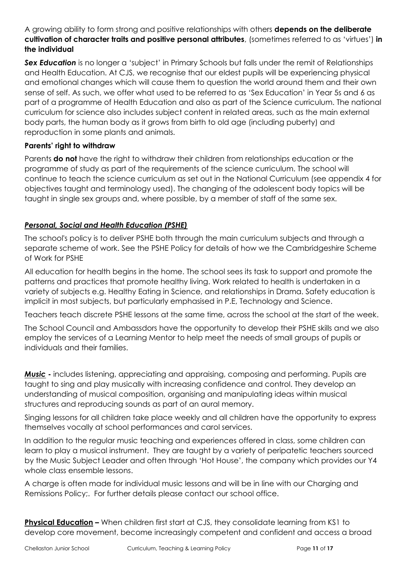A growing ability to form strong and positive relationships with others **depends on the deliberate cultivation of character traits and positive personal attributes**, (sometimes referred to as 'virtues') **in the individual**

**Sex Education** is no longer a 'subject' in Primary Schools but falls under the remit of Relationships and Health Education. At CJS, we recognise that our eldest pupils will be experiencing physical and emotional changes which will cause them to question the world around them and their own sense of self. As such, we offer what used to be referred to as 'Sex Education' in Year 5s and 6 as part of a programme of Health Education and also as part of the Science curriculum. The national curriculum for science also includes subject content in related areas, such as the main external body parts, the human body as it grows from birth to old age (including puberty) and reproduction in some plants and animals.

# **Parents' right to withdraw**

Parents **do not** have the right to withdraw their children from relationships education or the programme of study as part of the requirements of the science curriculum. The school will continue to teach the science curriculum as set out in the National Curriculum (see appendix 4 for objectives taught and terminology used). The changing of the adolescent body topics will be taught in single sex groups and, where possible, by a member of staff of the same sex.

# *Personal, Social and Health Education (PSHE)*

The school's policy is to deliver PSHE both through the main curriculum subjects and through a separate scheme of work. See the PSHE Policy for details of how we the Cambridgeshire Scheme of Work for PSHE

All education for health begins in the home. The school sees its task to support and promote the patterns and practices that promote healthy living. Work related to health is undertaken in a variety of subjects e.g. Healthy Eating in Science, and relationships in Drama. Safety education is implicit in most subjects, but particularly emphasised in P.E, Technology and Science.

Teachers teach discrete PSHE lessons at the same time, across the school at the start of the week.

The School Council and Ambassdors have the opportunity to develop their PSHE skills and we also employ the services of a Learning Mentor to help meet the needs of small groups of pupils or individuals and their families.

*Music* **-** includes listening, appreciating and appraising, composing and performing. Pupils are taught to sing and play musically with increasing confidence and control. They develop an understanding of musical composition, organising and manipulating ideas within musical structures and reproducing sounds as part of an aural memory.

Singing lessons for all children take place weekly and all children have the opportunity to express themselves vocally at school performances and carol services.

In addition to the regular music teaching and experiences offered in class, some children can learn to play a musical instrument. They are taught by a variety of peripatetic teachers sourced by the Music Subject Leader and often through 'Hot House', the company which provides our Y4 whole class ensemble lessons.

A charge is often made for individual music lessons and will be in line with our Charging and Remissions Policy;. For further details please contact our school office.

**Physical Education** – When children first start at CJS, they consolidate learning from KS1 to develop core movement, become increasingly competent and confident and access a broad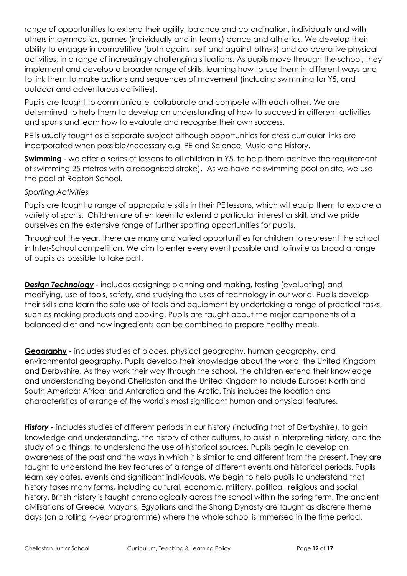range of opportunities to extend their agility, balance and co-ordination, individually and with others in gymnastics, games (individually and in teams) dance and athletics. We develop their ability to engage in competitive (both against self and against others) and co-operative physical activities, in a range of increasingly challenging situations. As pupils move through the school, they implement and develop a broader range of skills, learning how to use them in different ways and to link them to make actions and sequences of movement (including swimming for Y5, and outdoor and adventurous activities).

Pupils are taught to communicate, collaborate and compete with each other. We are determined to help them to develop an understanding of how to succeed in different activities and sports and learn how to evaluate and recognise their own success.

PE is usually taught as a separate subject although opportunities for cross curricular links are incorporated when possible/necessary e.g. PE and Science, Music and History.

**Swimming** - we offer a series of lessons to all children in Y5, to help them achieve the requirement of swimming 25 metres with a recognised stroke). As we have no swimming pool on site, we use the pool at Repton School.

#### *Sporting Activities*

Pupils are taught a range of appropriate skills in their PE lessons, which will equip them to explore a variety of sports. Children are often keen to extend a particular interest or skill, and we pride ourselves on the extensive range of further sporting opportunities for pupils.

Throughout the year, there are many and varied opportunities for children to represent the school in Inter-School competition. We aim to enter every event possible and to invite as broad a range of pupils as possible to take part.

**Design Technology** - includes designing; planning and making, testing (evaluating) and modifying, use of tools, safety, and studying the uses of technology in our world. Pupils develop their skills and learn the safe use of tools and equipment by undertaking a range of practical tasks, such as making products and cooking. Pupils are taught about the major components of a balanced diet and how ingredients can be combined to prepare healthy meals.

**Geography -** includes studies of places, physical geography, human geography, and environmental geography. Pupils develop their knowledge about the world, the United Kingdom and Derbyshire. As they work their way through the school, the children extend their knowledge and understanding beyond Chellaston and the United Kingdom to include Europe; North and South America; Africa; and Antarctica and the Arctic. This includes the location and characteristics of a range of the world's most significant human and physical features.

**History** - includes studies of different periods in our history (including that of Derbyshire), to gain knowledge and understanding, the history of other cultures, to assist in interpreting history, and the study of old things, to understand the use of historical sources. Pupils begin to develop an awareness of the past and the ways in which it is similar to and different from the present. They are taught to understand the key features of a range of different events and historical periods. Pupils learn key dates, events and significant individuals. We begin to help pupils to understand that history takes many forms, including cultural, economic, military, political, religious and social history. British history is taught chronologically across the school within the spring term. The ancient civilisations of Greece, Mayans, Egyptians and the Shang Dynasty are taught as discrete theme days (on a rolling 4-year programme) where the whole school is immersed in the time period.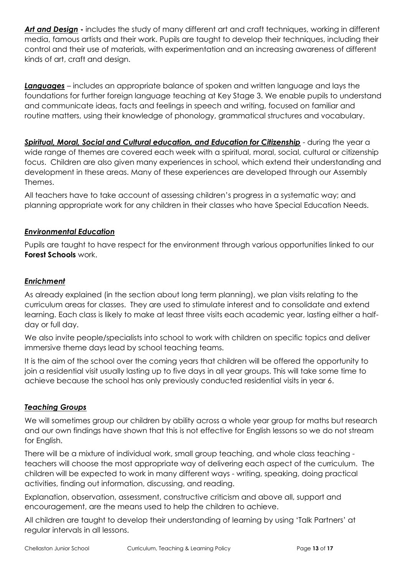*Art and Design* **-** includes the study of many different art and craft techniques, working in different media, famous artists and their work. Pupils are taught to develop their techniques, including their control and their use of materials, with experimentation and an increasing awareness of different kinds of art, craft and design.

*Languages* – includes an appropriate balance of spoken and written language and lays the foundations for further foreign language teaching at Key Stage 3. We enable pupils to understand and communicate ideas, facts and feelings in speech and writing, focused on familiar and routine matters, using their knowledge of phonology, grammatical structures and vocabulary.

Spiritual, Moral, Social and Cultural education, and Education for Citizenship - during the year a wide range of themes are covered each week with a spiritual, moral, social, cultural or citizenship focus. Children are also given many experiences in school, which extend their understanding and development in these areas. Many of these experiences are developed through our Assembly Themes.

All teachers have to take account of assessing children's progress in a systematic way; and planning appropriate work for any children in their classes who have Special Education Needs.

# *Environmental Education*

Pupils are taught to have respect for the environment through various opportunities linked to our **Forest Schools** work.

# *Enrichment*

As already explained (in the section about long term planning), we plan visits relating to the curriculum areas for classes. They are used to stimulate interest and to consolidate and extend learning. Each class is likely to make at least three visits each academic year, lasting either a halfday or full day.

We also invite people/specialists into school to work with children on specific topics and deliver immersive theme days lead by school teaching teams.

It is the aim of the school over the coming years that children will be offered the opportunity to join a residential visit usually lasting up to five days in all year groups. This will take some time to achieve because the school has only previously conducted residential visits in year 6.

#### *Teaching Groups*

We will sometimes group our children by ability across a whole year group for maths but research and our own findings have shown that this is not effective for English lessons so we do not stream for English.

There will be a mixture of individual work, small group teaching, and whole class teaching teachers will choose the most appropriate way of delivering each aspect of the curriculum. The children will be expected to work in many different ways - writing, speaking, doing practical activities, finding out information, discussing, and reading.

Explanation, observation, assessment, constructive criticism and above all, support and encouragement, are the means used to help the children to achieve.

All children are taught to develop their understanding of learning by using 'Talk Partners' at regular intervals in all lessons.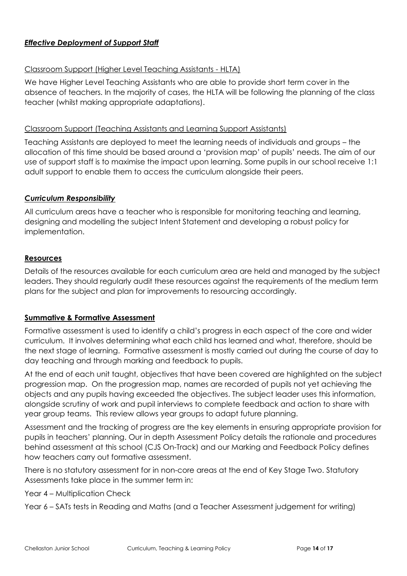# *Effective Deployment of Support Staff*

#### Classroom Support (Higher Level Teaching Assistants - HLTA)

We have Higher Level Teaching Assistants who are able to provide short term cover in the absence of teachers. In the majority of cases, the HLTA will be following the planning of the class teacher (whilst making appropriate adaptations).

#### Classroom Support (Teaching Assistants and Learning Support Assistants)

Teaching Assistants are deployed to meet the learning needs of individuals and groups – the allocation of this time should be based around a 'provision map' of pupils' needs. The aim of our use of support staff is to maximise the impact upon learning. Some pupils in our school receive 1:1 adult support to enable them to access the curriculum alongside their peers.

#### *Curriculum Responsibility*

All curriculum areas have a teacher who is responsible for monitoring teaching and learning, designing and modelling the subject Intent Statement and developing a robust policy for implementation.

# **Resources**

Details of the resources available for each curriculum area are held and managed by the subject leaders. They should regularly audit these resources against the requirements of the medium term plans for the subject and plan for improvements to resourcing accordingly.

#### **Summative & Formative Assessment**

Formative assessment is used to identify a child's progress in each aspect of the core and wider curriculum. It involves determining what each child has learned and what, therefore, should be the next stage of learning. Formative assessment is mostly carried out during the course of day to day teaching and through marking and feedback to pupils.

At the end of each unit taught, objectives that have been covered are highlighted on the subject progression map. On the progression map, names are recorded of pupils not yet achieving the objects and any pupils having exceeded the objectives. The subject leader uses this information, alongside scrutiny of work and pupil interviews to complete feedback and action to share with year group teams. This review allows year groups to adapt future planning.

Assessment and the tracking of progress are the key elements in ensuring appropriate provision for pupils in teachers' planning. Our in depth Assessment Policy details the rationale and procedures behind assessment at this school (CJS On-Track) and our Marking and Feedback Policy defines how teachers carry out formative assessment.

There is no statutory assessment for in non-core areas at the end of Key Stage Two. Statutory Assessments take place in the summer term in:

Year 4 – Multiplication Check

Year 6 – SATs tests in Reading and Maths (and a Teacher Assessment judgement for writing)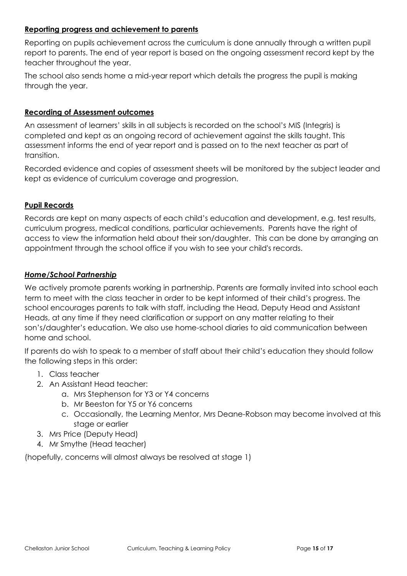#### **Reporting progress and achievement to parents**

Reporting on pupils achievement across the curriculum is done annually through a written pupil report to parents. The end of year report is based on the ongoing assessment record kept by the teacher throughout the year.

The school also sends home a mid-year report which details the progress the pupil is making through the year.

#### **Recording of Assessment outcomes**

An assessment of learners' skills in all subjects is recorded on the school's MIS (Integris) is completed and kept as an ongoing record of achievement against the skills taught. This assessment informs the end of year report and is passed on to the next teacher as part of transition.

Recorded evidence and copies of assessment sheets will be monitored by the subject leader and kept as evidence of curriculum coverage and progression.

# **Pupil Records**

Records are kept on many aspects of each child's education and development, e.g. test results, curriculum progress, medical conditions, particular achievements. Parents have the right of access to view the information held about their son/daughter. This can be done by arranging an appointment through the school office if you wish to see your child's records.

#### *Home/School Partnership*

We actively promote parents working in partnership. Parents are formally invited into school each term to meet with the class teacher in order to be kept informed of their child's progress. The school encourages parents to talk with staff, including the Head, Deputy Head and Assistant Heads, at any time if they need clarification or support on any matter relating to their son's/daughter's education. We also use home-school diaries to aid communication between home and school.

If parents do wish to speak to a member of staff about their child's education they should follow the following steps in this order:

- 1. Class teacher
- 2. An Assistant Head teacher:
	- a. Mrs Stephenson for Y3 or Y4 concerns
	- b. Mr Beeston for Y5 or Y6 concerns
	- c. Occasionally, the Learning Mentor, Mrs Deane-Robson may become involved at this stage or earlier
- 3. Mrs Price (Deputy Head)
- 4. Mr Smythe (Head teacher)

(hopefully, concerns will almost always be resolved at stage 1)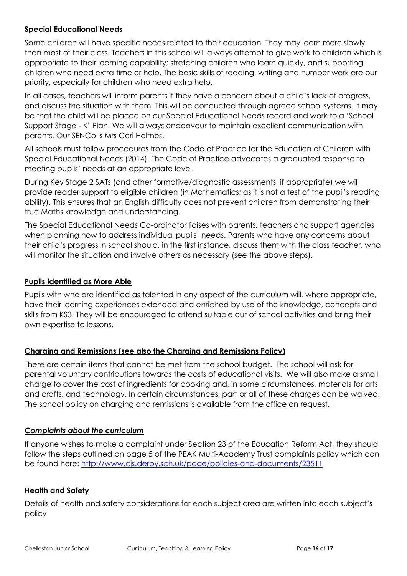# **Special Educational Needs**

Some children will have specific needs related to their education. They may learn more slowly than most of their class. Teachers in this school will always attempt to give work to children which is appropriate to their learning capability; stretching children who learn quickly, and supporting children who need extra time or help. The basic skills of reading, writing and number work are our priority, especially for children who need extra help.

In all cases, teachers will inform parents if they have a concern about a child's lack of progress, and discuss the situation with them. This will be conducted through agreed school systems. It may be that the child will be placed on our Special Educational Needs record and work to a 'School Support Stage - K' Plan. We will always endeavour to maintain excellent communication with parents. Our SENCo is Mrs Ceri Holmes.

All schools must follow procedures from the Code of Practice for the Education of Children with Special Educational Needs (2014). The Code of Practice advocates a graduated response to meeting pupils' needs at an appropriate level.

During Key Stage 2 SATs (and other formative/diagnostic assessments, if appropriate) we will provide reader support to eligible children (in Mathematics; as it is not a test of the pupil's reading ability). This ensures that an English difficulty does not prevent children from demonstrating their true Maths knowledge and understanding.

The Special Educational Needs Co-ordinator liaises with parents, teachers and support agencies when planning how to address individual pupils' needs. Parents who have any concerns about their child's progress in school should, in the first instance, discuss them with the class teacher, who will monitor the situation and involve others as necessary (see the above steps).

# **Pupils identified as More Able**

Pupils with who are identified as talented in any aspect of the curriculum will, where appropriate, have their learning experiences extended and enriched by use of the knowledge, concepts and skills from KS3. They will be encouraged to attend suitable out of school activities and bring their own expertise to lessons.

# **Charging and Remissions (see also the Charging and Remissions Policy)**

There are certain items that cannot be met from the school budget. The school will ask for parental voluntary contributions towards the costs of educational visits. We will also make a small charge to cover the cost of ingredients for cooking and, in some circumstances, materials for arts and crafts, and technology. In certain circumstances, part or all of these charges can be waived. The school policy on charging and remissions is available from the office on request.

# *Complaints about the curriculum*

If anyone wishes to make a complaint under Section 23 of the Education Reform Act, they should follow the steps outlined on page 5 of the PEAK Multi-Academy Trust complaints policy which can be found here: <http://www.cjs.derby.sch.uk/page/policies-and-documents/23511>

#### **Health and Safety**

Details of health and safety considerations for each subject area are written into each subject's policy